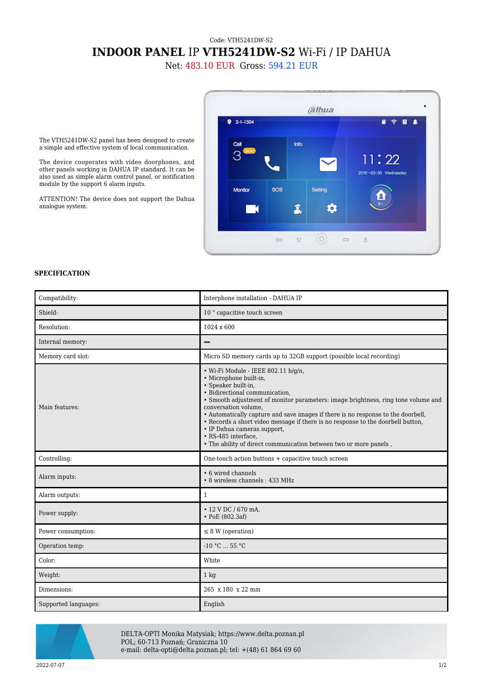## Code: VTH5241DW-S2 **INDOOR PANEL** IP **VTH5241DW-S2** Wi-Fi / IP DAHUA

Net: 483.10 EUR Gross: 594.21 EUR



The VTH5241DW-S2 panel has been designed to create a simple and effective system of local communication.

The device cooperates with video doorphones, and other panels working in DAHUA IP standard. It can be also used as simple alarm control panel, or notification module by the support 6 alarm inputs.

ATTENTION! The device does not support the Dahua analogue system.

## **SPECIFICATION**

| Compatibility:       | Interphone installation - DAHUA IP                                                                                                                                                                                                                                                                                                                                                                                                                                                                                                    |
|----------------------|---------------------------------------------------------------------------------------------------------------------------------------------------------------------------------------------------------------------------------------------------------------------------------------------------------------------------------------------------------------------------------------------------------------------------------------------------------------------------------------------------------------------------------------|
| Shield:              | 10 " capacitive touch screen                                                                                                                                                                                                                                                                                                                                                                                                                                                                                                          |
| Resolution:          | $1024 \times 600$                                                                                                                                                                                                                                                                                                                                                                                                                                                                                                                     |
| Internal memory:     | -                                                                                                                                                                                                                                                                                                                                                                                                                                                                                                                                     |
| Memory card slot:    | Micro SD memory cards up to 32GB support (possible local recording)                                                                                                                                                                                                                                                                                                                                                                                                                                                                   |
| Main features:       | · Wi-Fi Module - IEEE 802.11 b/g/n,<br>· Microphone built-in,<br>· Speaker built-in,<br>• Bidirectional communication.<br>• Smooth adjustment of monitor parameters: image brightness, ring tone volume and<br>conversation volume,<br>• Automatically capture and save images if there is no response to the doorbell,<br>• Records a short video message if there is no response to the doorbell button,<br>• IP Dahua cameras support,<br>• RS-485 interface.<br>. The ability of direct communication between two or more panels, |
| Controlling:         | One-touch action buttons + capacitive touch screen                                                                                                                                                                                                                                                                                                                                                                                                                                                                                    |
| Alarm inputs:        | • 6 wired channels<br>• 8 wireless channels: 433 MHz                                                                                                                                                                                                                                                                                                                                                                                                                                                                                  |
| Alarm outputs:       | $\mathbf{1}$                                                                                                                                                                                                                                                                                                                                                                                                                                                                                                                          |
| Power supply:        | • 12 V DC / 670 mA,<br>$\cdot$ PoE (802.3af)                                                                                                                                                                                                                                                                                                                                                                                                                                                                                          |
| Power consumption:   | $\leq$ 8 W (operation)                                                                                                                                                                                                                                                                                                                                                                                                                                                                                                                |
| Operation temp:      | $-10$ °C $\ldots$ 55 °C                                                                                                                                                                                                                                                                                                                                                                                                                                                                                                               |
| Color:               | White                                                                                                                                                                                                                                                                                                                                                                                                                                                                                                                                 |
| Weight:              | $1$ kg                                                                                                                                                                                                                                                                                                                                                                                                                                                                                                                                |
| Dimensions:          | 265 x 180 x 22 mm                                                                                                                                                                                                                                                                                                                                                                                                                                                                                                                     |
| Supported languages: | English                                                                                                                                                                                                                                                                                                                                                                                                                                                                                                                               |



DELTA-OPTI Monika Matysiak; https://www.delta.poznan.pl POL; 60-713 Poznań; Graniczna 10 e-mail: delta-opti@delta.poznan.pl; tel: +(48) 61 864 69 60